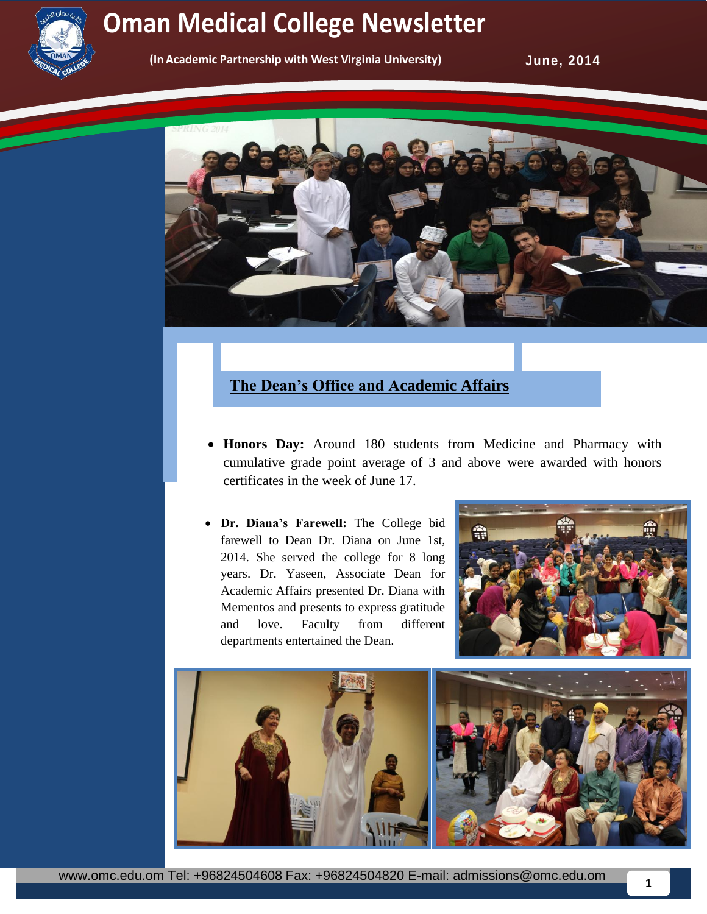

## **Newsletter Oman Medical College Newsletter Service College Oman Medical College Newsletter**

**(In Academic Partnership with West Virginia University)** 

**June, 2014** 



## **The Dean's Office and Academic Affairs**

- **Honors Day:** Around 180 students from Medicine and Pharmacy with cumulative grade point average of 3 and above were awarded with honors certificates in the week of June 17.
- **Dr. Diana's Farewell:** The College bid farewell to Dean Dr. Diana on June 1st, 2014. She served the college for 8 long years. Dr. Yaseen, Associate Dean for Academic Affairs presented Dr. Diana with Mementos and presents to express gratitude and love. Faculty from different departments entertained the Dean.



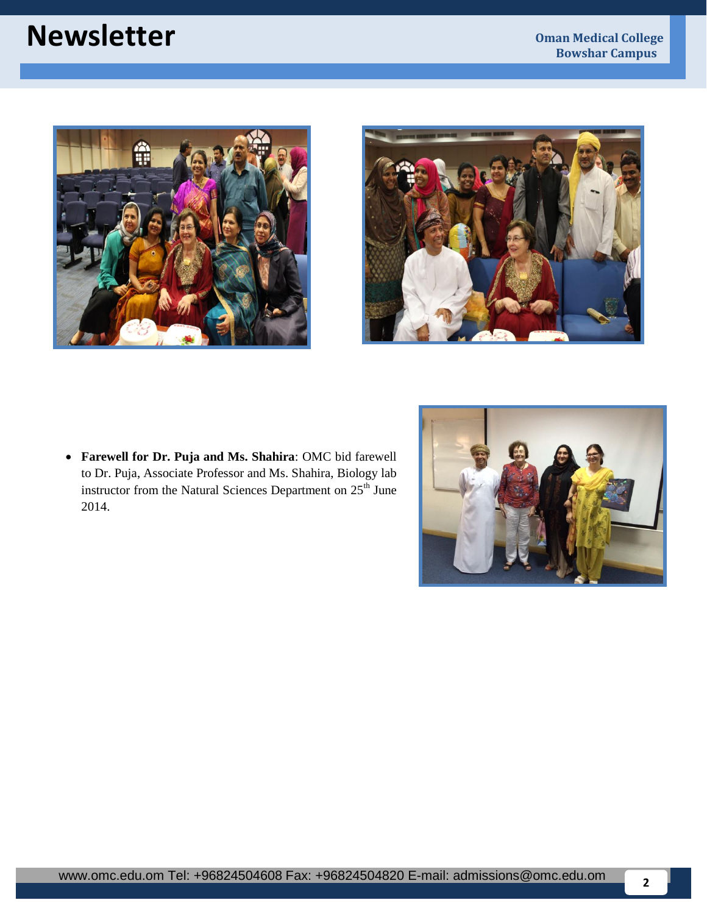# **Newsletter Oman Medical College**





 **Farewell for Dr. Puja and Ms. Shahira**: OMC bid farewell to Dr. Puja, Associate Professor and Ms. Shahira, Biology lab instructor from the Natural Sciences Department on 25<sup>th</sup> June 2014.

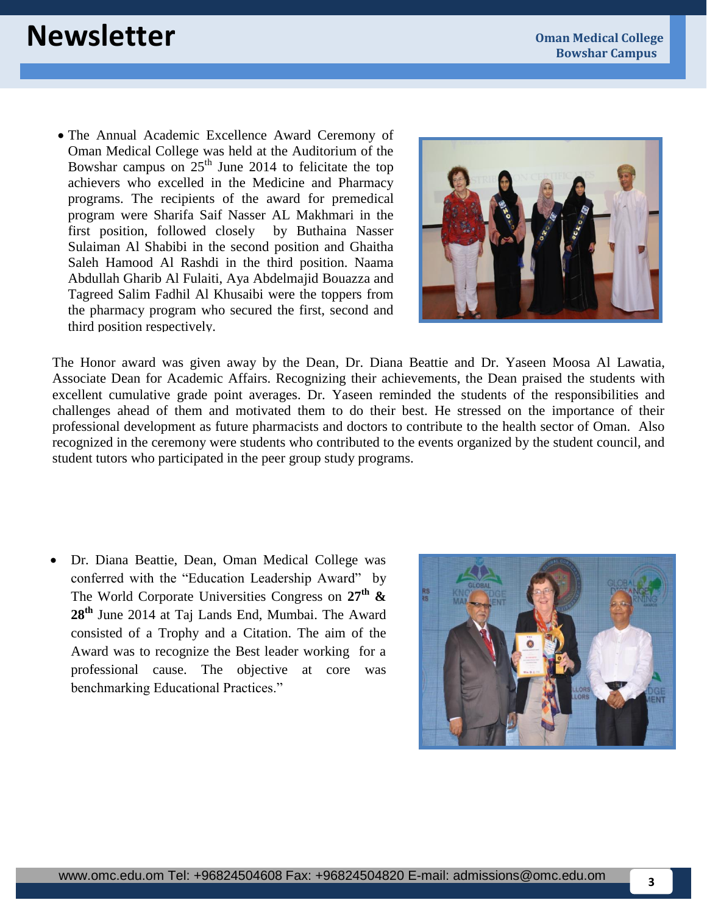# **Newsletter Oman Medical College**

 The Annual Academic Excellence Award Ceremony of Oman Medical College was held at the Auditorium of the Bowshar campus on  $25<sup>th</sup>$  June 2014 to felicitate the top achievers who excelled in the Medicine and Pharmacy programs. The recipients of the award for premedical program were Sharifa Saif Nasser AL Makhmari in the first position, followed closely by Buthaina Nasser Sulaiman Al Shabibi in the second position and Ghaitha Saleh Hamood Al Rashdi in the third position. Naama Abdullah Gharib Al Fulaiti, Aya Abdelmajid Bouazza and Tagreed Salim Fadhil Al Khusaibi were the toppers from the pharmacy program who secured the first, second and third position respectively.



The Honor award was given away by the Dean, Dr. Diana Beattie and Dr. Yaseen Moosa Al Lawatia, Associate Dean for Academic Affairs. Recognizing their achievements, the Dean praised the students with excellent cumulative grade point averages. Dr. Yaseen reminded the students of the responsibilities and challenges ahead of them and motivated them to do their best. He stressed on the importance of their professional development as future pharmacists and doctors to contribute to the health sector of Oman. Also recognized in the ceremony were students who contributed to the events organized by the student council, and student tutors who participated in the peer group study programs.

 Dr. Diana Beattie, Dean, Oman Medical College was conferred with the "Education Leadership Award" by The World Corporate Universities Congress on **27th & 28th** June 2014 at Taj Lands End, Mumbai. The Award consisted of a Trophy and a Citation. The aim of the Award was to recognize the Best leader working for a professional cause. The objective at core was benchmarking Educational Practices."

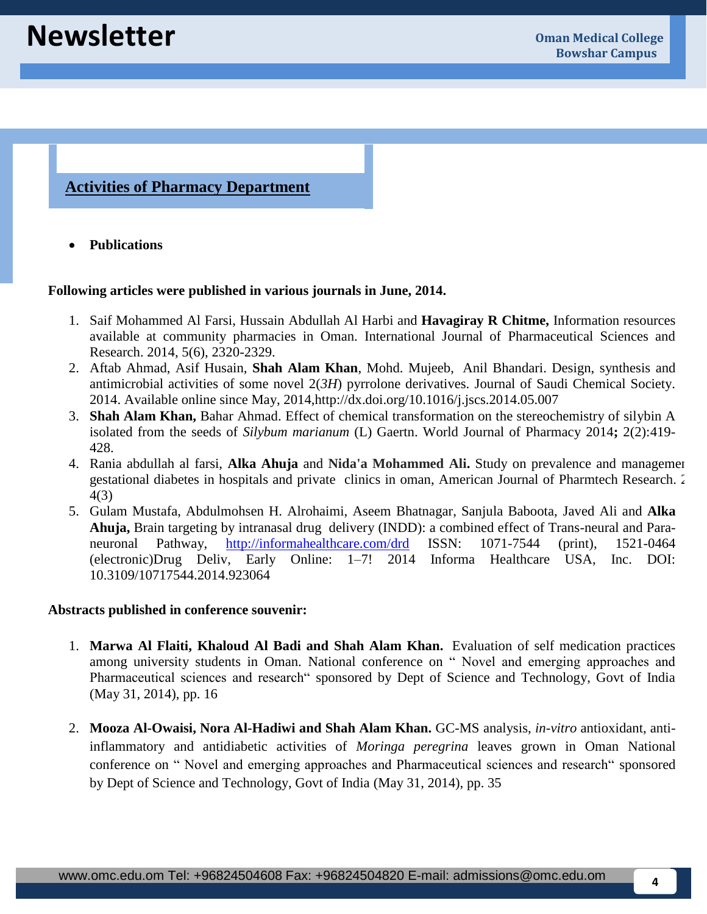### **Activities of Pharmacy Department**

**Publications** 

#### **Following articles were published in various journals in June, 2014.**

- 1. Saif Mohammed Al Farsi, Hussain Abdullah Al Harbi and **Havagiray R Chitme,** Information resources available at community pharmacies in Oman. International Journal of Pharmaceutical Sciences and Research. 2014, 5(6), 2320-2329.
- 2. Aftab Ahmad, Asif Husain, **Shah Alam Khan**, Mohd. Mujeeb, Anil Bhandari. Design, synthesis and antimicrobial activities of some novel 2(*3H*) pyrrolone derivatives. Journal of Saudi Chemical Society. 2014. Available online since May, 2014,http://dx.doi.org/10.1016/j.jscs.2014.05.007
- 3. **Shah Alam Khan,** Bahar Ahmad. Effect of chemical transformation on the stereochemistry of silybin A isolated from the seeds of *Silybum marianum* (L) Gaertn. World Journal of Pharmacy 2014**;** 2(2):419- 428.
- 4. Rania abdullah al farsi, **Alka Ahuja** and **Nida'a Mohammed Ali.** Study on prevalence and management of gestational diabetes in hospitals and private clinics in oman, American Journal of Pharmtech Research. 2014 4(3)
- 5. Gulam Mustafa, Abdulmohsen H. Alrohaimi, Aseem Bhatnagar, Sanjula Baboota, Javed Ali and **Alka Ahuja,** Brain targeting by intranasal drug delivery (INDD): a combined effect of Trans-neural and Paraneuronal Pathway, <http://informahealthcare.com/drd> ISSN: 1071-7544 (print), 1521-0464 (electronic)Drug Deliv, Early Online: 1–7! 2014 Informa Healthcare USA, Inc. DOI: 10.3109/10717544.2014.923064

#### **Abstracts published in conference souvenir:**

- 1. **Marwa Al Flaiti, Khaloud Al Badi and Shah Alam Khan.** Evaluation of self medication practices among university students in Oman. National conference on " Novel and emerging approaches and Pharmaceutical sciences and research" sponsored by Dept of Science and Technology, Govt of India (May 31, 2014), pp. 16
- 2. **Mooza Al-Owaisi, Nora Al-Hadiwi and Shah Alam Khan.** GC-MS analysis, *in-vitro* antioxidant, antiinflammatory and antidiabetic activities of *Moringa peregrina* leaves grown in Oman National conference on " Novel and emerging approaches and Pharmaceutical sciences and research" sponsored by Dept of Science and Technology, Govt of India (May 31, 2014), pp. 35